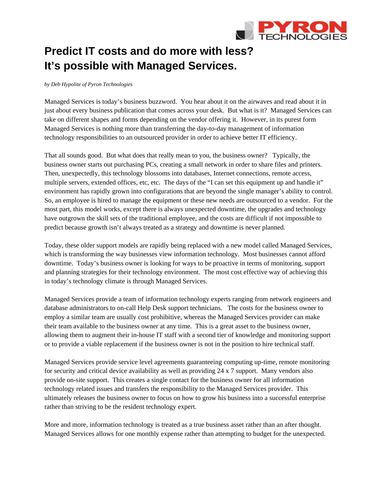

## **Predict IT costs and do more with less? It's possible with Managed Services.**

## *by Deb Hypolite of Pyron Technologies*

Managed Services is today's business buzzword. You hear about it on the airwaves and read about it in just about every business publication that comes across your desk. But what is it? Managed Services can take on different shapes and forms depending on the vendor offering it. However, in its purest form Managed Services is nothing more than transferring the day-to-day management of information technology responsibilities to an outsourced provider in order to achieve better IT efficiency.

That all sounds good. But what does that really mean to you, the business owner? Typically, the business owner starts out purchasing PCs, creating a small network in order to share files and printers. Then, unexpectedly, this technology blossoms into databases, Internet connections, remote access, multiple servers, extended offices, etc, etc. The days of the "I can set this equipment up and handle it" environment has rapidly grown into configurations that are beyond the single manager's ability to control. So, an employee is hired to manage the equipment or these new needs are outsourced to a vendor. For the most part, this model works, except there is always unexpected downtime, the upgrades and technology have outgrown the skill sets of the traditional employee, and the costs are difficult if not impossible to predict because growth isn't always treated as a strategy and downtime is never planned.

Today, these older support models are rapidly being replaced with a new model called Managed Services, which is transforming the way businesses view information technology. Most businesses cannot afford downtime. Today's business owner is looking for ways to be proactive in terms of monitoring, support and planning strategies for their technology environment. The most cost effective way of achieving this in today's technology climate is through Managed Services.

Managed Services provide a team of information technology experts ranging from network engineers and database administrators to on-call Help Desk support technicians. The costs for the business owner to employ a similar team are usually cost prohibitive, whereas the Managed Services provider can make their team available to the business owner at any time. This is a great asset to the business owner, allowing them to augment their in-house IT staff with a second tier of knowledge and monitoring support or to provide a viable replacement if the business owner is not in the position to hire technical staff.

Managed Services provide service level agreements guaranteeing computing up-time, remote monitoring for security and critical device availability as well as providing 24 x 7 support. Many vendors also provide on-site support. This creates a single contact for the business owner for all information technology related issues and transfers the responsibility to the Managed Services provider. This ultimately releases the business owner to focus on how to grow his business into a successful enterprise rather than striving to be the resident technology expert.

More and more, information technology is treated as a true business asset rather than an after thought. Managed Services allows for one monthly expense rather than attempting to budget for the unexpected.